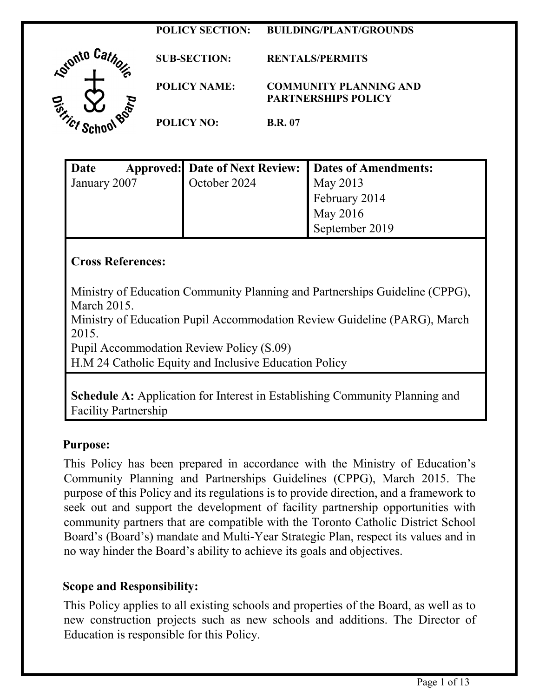#### **POLICY SECTION: BUILDING/PLANT/GROUNDS**



**SUB-SECTION: RENTALS/PERMITS POLICY NAME: COMMUNITY PLANNING AND PARTNERSHIPS POLICY POLICY NO: B.R. 07**

| Date         | Approved: Date of Next Review: Dates of Amendments: |                |
|--------------|-----------------------------------------------------|----------------|
| January 2007 | October 2024                                        | May 2013       |
|              |                                                     | February 2014  |
|              |                                                     | May 2016       |
|              |                                                     | September 2019 |

## **Cross References:**

Ministry of Education Community Planning and Partnerships Guideline (CPPG), March 2015.

Ministry of Education Pupil Accommodation Review Guideline (PARG), March 2015.

Pupil Accommodation Review Policy (S.09)

H.M 24 Catholic Equity and Inclusive Education Policy

**Schedule A:** Application for Interest in Establishing Community Planning and Facility Partnership

#### **Purpose:**

This Policy has been prepared in accordance with the Ministry of Education's Community Planning and Partnerships Guidelines (CPPG), March 2015. The purpose of this Policy and its regulations is to provide direction, and a framework to seek out and support the development of facility partnership opportunities with community partners that are compatible with the Toronto Catholic District School Board's (Board's) mandate and Multi-Year Strategic Plan, respect its values and in no way hinder the Board's ability to achieve its goals and objectives.

#### **Scope and Responsibility:**

This Policy applies to all existing schools and properties of the Board, as well as to new construction projects such as new schools and additions. The Director of Education is responsible for this Policy.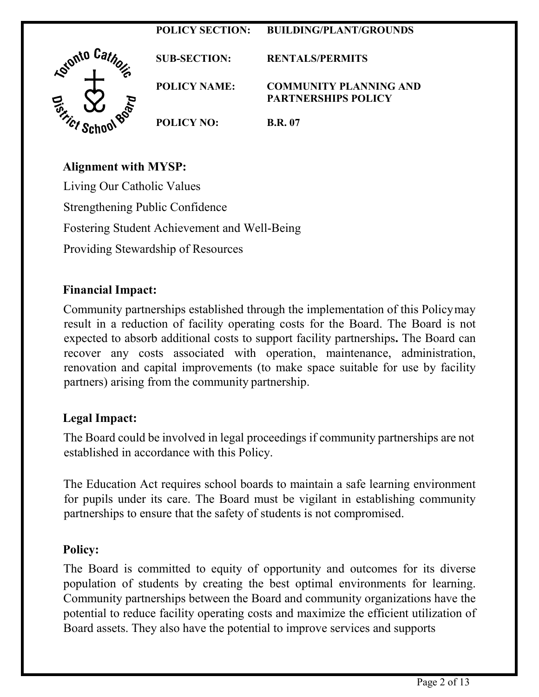# **POLICY SECTION: BUILDING/PLANT/GROUNDS**  A<sup>tonto Catho</sup> **SUB-SECTION: RENTALS/PERMITS POLICY NAME: COMMUNITY PLANNING AND PARTNERSHIPS POLICY POLICY NO: B.R. 07**

# **Alignment with MYSP:**

Living Our Catholic Values Strengthening Public Confidence Fostering Student Achievement and Well-Being Providing Stewardship of Resources

# **Financial Impact:**

Community partnerships established through the implementation of this Policymay result in a reduction of facility operating costs for the Board. The Board is not expected to absorb additional costs to support facility partnerships**.** The Board can recover any costs associated with operation, maintenance, administration, renovation and capital improvements (to make space suitable for use by facility partners) arising from the community partnership.

# **Legal Impact:**

The Board could be involved in legal proceedings if community partnerships are not established in accordance with this Policy.

The Education Act requires school boards to maintain a safe learning environment for pupils under its care. The Board must be vigilant in establishing community partnerships to ensure that the safety of students is not compromised.

#### **Policy:**

The Board is committed to equity of opportunity and outcomes for its diverse population of students by creating the best optimal environments for learning. Community partnerships between the Board and community organizations have the potential to reduce facility operating costs and maximize the efficient utilization of Board assets. They also have the potential to improve services and supports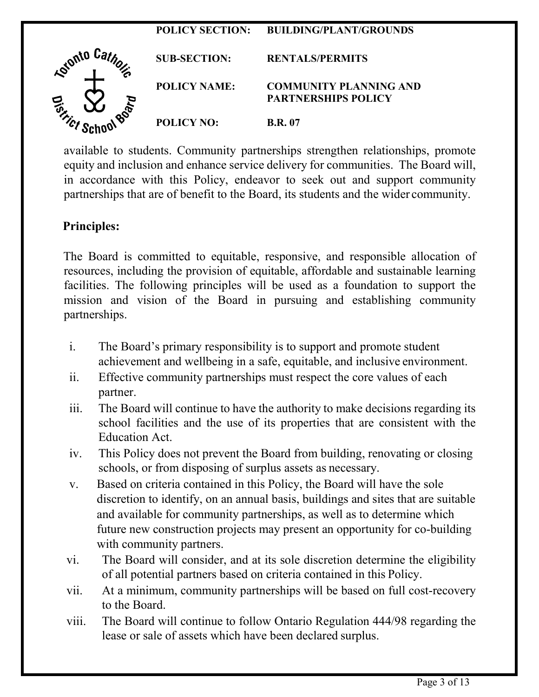

available to students. Community partnerships strengthen relationships, promote equity and inclusion and enhance service delivery for communities. The Board will, in accordance with this Policy, endeavor to seek out and support community partnerships that are of benefit to the Board, its students and the wider community.

#### **Principles:**

The Board is committed to equitable, responsive, and responsible allocation of resources, including the provision of equitable, affordable and sustainable learning facilities. The following principles will be used as a foundation to support the mission and vision of the Board in pursuing and establishing community partnerships.

- i. The Board's primary responsibility is to support and promote student achievement and wellbeing in a safe, equitable, and inclusive environment.
- ii. Effective community partnerships must respect the core values of each partner.
- iii. The Board will continue to have the authority to make decisions regarding its school facilities and the use of its properties that are consistent with the Education Act.
- iv. This Policy does not prevent the Board from building, renovating or closing schools, or from disposing of surplus assets as necessary.
- v. Based on criteria contained in this Policy, the Board will have the sole discretion to identify, on an annual basis, buildings and sites that are suitable and available for community partnerships, as well as to determine which future new construction projects may present an opportunity for co-building with community partners.
- vi. The Board will consider, and at its sole discretion determine the eligibility of all potential partners based on criteria contained in this Policy.
- vii. At a minimum, community partnerships will be based on full cost-recovery to the Board.
- viii. The Board will continue to follow Ontario Regulation 444/98 regarding the lease or sale of assets which have been declared surplus.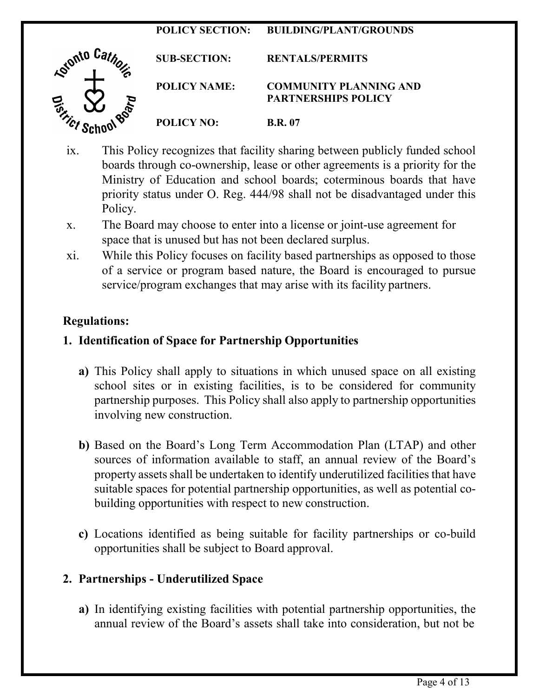# **POLICY SECTION: BUILDING/PLANT/GROUNDS**  A<sup>vonto Catho</sup> **SUB-SECTION: RENTALS/PERMITS POLICY NAME: COMMUNITY PLANNING AND PARTNERSHIPS POLICY POLICY NO: B.R. 07**

- ix. This Policy recognizes that facility sharing between publicly funded school boards through co-ownership, lease or other agreements is a priority for the Ministry of Education and school boards; coterminous boards that have priority status under O. Reg. 444/98 shall not be disadvantaged under this Policy.
- x. The Board may choose to enter into a license or joint-use agreement for space that is unused but has not been declared surplus.
- xi. While this Policy focuses on facility based partnerships as opposed to those of a service or program based nature, the Board is encouraged to pursue service/program exchanges that may arise with its facility partners.

# **Regulations:**

# **1. Identification of Space for Partnership Opportunities**

- **a)** This Policy shall apply to situations in which unused space on all existing school sites or in existing facilities, is to be considered for community partnership purposes. This Policy shall also apply to partnership opportunities involving new construction.
- **b)** Based on the Board's Long Term Accommodation Plan (LTAP) and other sources of information available to staff, an annual review of the Board's property assets shall be undertaken to identify underutilized facilities that have suitable spaces for potential partnership opportunities, as well as potential cobuilding opportunities with respect to new construction.
- **c)** Locations identified as being suitable for facility partnerships or co-build opportunities shall be subject to Board approval.

#### **2. Partnerships - Underutilized Space**

**a)** In identifying existing facilities with potential partnership opportunities, the annual review of the Board's assets shall take into consideration, but not be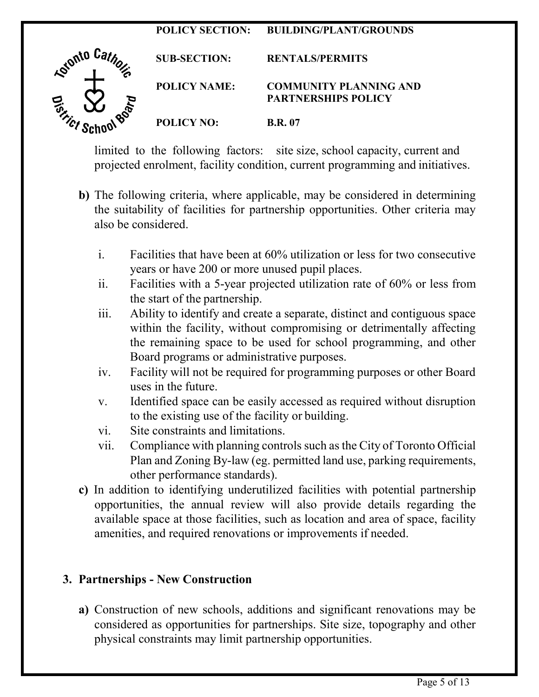# **POLICY SECTION: BUILDING/PLANT/GROUNDS**  A<sup>tonto Cathor</sup> **SUB-SECTION: RENTALS/PERMITS POLICY NAME: COMMUNITY PLANNING AND PARTNERSHIPS POLICY POLICY NO: B.R. 07**

limited to the following factors: site size, school capacity, current and projected enrolment, facility condition, current programming and initiatives.

- **b)** The following criteria, where applicable, may be considered in determining the suitability of facilities for partnership opportunities. Other criteria may also be considered.
	- i. Facilities that have been at 60% utilization or less for two consecutive years or have 200 or more unused pupil places.
	- ii. Facilities with a 5-year projected utilization rate of 60% or less from the start of the partnership.
	- iii. Ability to identify and create a separate, distinct and contiguous space within the facility, without compromising or detrimentally affecting the remaining space to be used for school programming, and other Board programs or administrative purposes.
	- iv. Facility will not be required for programming purposes or other Board uses in the future.
	- v. Identified space can be easily accessed as required without disruption to the existing use of the facility or building.
	- vi. Site constraints and limitations.
	- vii. Compliance with planning controls such asthe City of Toronto Official Plan and Zoning By-law (eg. permitted land use, parking requirements, other performance standards).
- **c)** In addition to identifying underutilized facilities with potential partnership opportunities, the annual review will also provide details regarding the available space at those facilities, such as location and area of space, facility amenities, and required renovations or improvements if needed.

# **3. Partnerships - New Construction**

**a)** Construction of new schools, additions and significant renovations may be considered as opportunities for partnerships. Site size, topography and other physical constraints may limit partnership opportunities.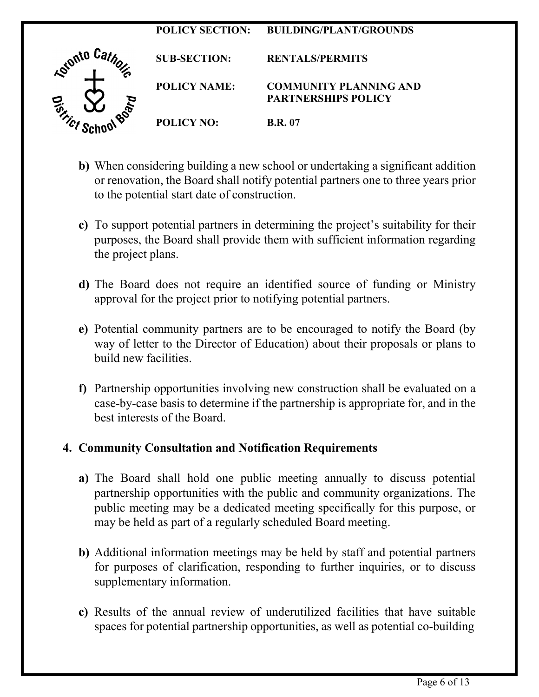

- **b)** When considering building a new school or undertaking a significant addition or renovation, the Board shall notify potential partners one to three years prior to the potential start date of construction.
- **c)** To support potential partners in determining the project's suitability for their purposes, the Board shall provide them with sufficient information regarding the project plans.
- **d)** The Board does not require an identified source of funding or Ministry approval for the project prior to notifying potential partners.
- **e)** Potential community partners are to be encouraged to notify the Board (by way of letter to the Director of Education) about their proposals or plans to build new facilities.
- **f)** Partnership opportunities involving new construction shall be evaluated on a case-by-case basis to determine if the partnership is appropriate for, and in the best interests of the Board.

#### **4. Community Consultation and Notification Requirements**

- **a)** The Board shall hold one public meeting annually to discuss potential partnership opportunities with the public and community organizations. The public meeting may be a dedicated meeting specifically for this purpose, or may be held as part of a regularly scheduled Board meeting.
- **b)** Additional information meetings may be held by staff and potential partners for purposes of clarification, responding to further inquiries, or to discuss supplementary information.
- **c)** Results of the annual review of underutilized facilities that have suitable spaces for potential partnership opportunities, as well as potential co-building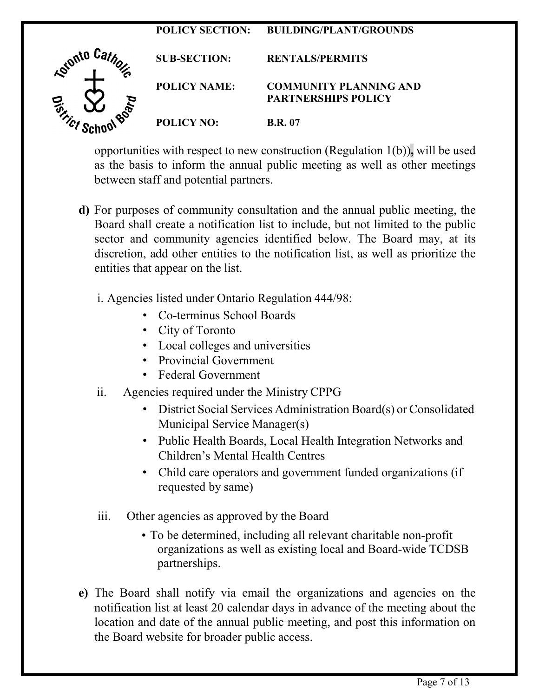

as the basis to inform the annual public meeting as well as other meetings between staff and potential partners.

- **d)** For purposes of community consultation and the annual public meeting, the Board shall create a notification list to include, but not limited to the public sector and community agencies identified below. The Board may, at its discretion, add other entities to the notification list, as well as prioritize the entities that appear on the list.
	- i. Agencies listed under Ontario Regulation 444/98:
		- Co-terminus School Boards
		- City of Toronto
		- Local colleges and universities
		- Provincial Government
		- Federal Government
	- ii. Agencies required under the Ministry CPPG
		- District Social Services Administration Board(s) or Consolidated Municipal Service Manager(s)
		- Public Health Boards, Local Health Integration Networks and Children's Mental Health Centres
		- Child care operators and government funded organizations (if requested by same)
	- iii. Other agencies as approved by the Board
		- To be determined, including all relevant charitable non-profit organizations as well as existing local and Board-wide TCDSB partnerships.
- **e)** The Board shall notify via email the organizations and agencies on the notification list at least 20 calendar days in advance of the meeting about the location and date of the annual public meeting, and post this information on the Board website for broader public access.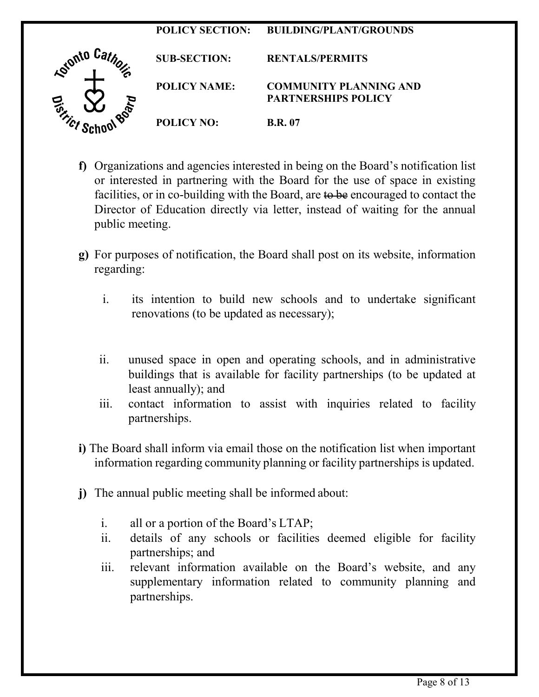

- **f)** Organizations and agencies interested in being on the Board's notification list or interested in partnering with the Board for the use of space in existing facilities, or in co-building with the Board, are to be encouraged to contact the Director of Education directly via letter, instead of waiting for the annual public meeting.
- **g)** For purposes of notification, the Board shall post on its website, information regarding:
	- i. its intention to build new schools and to undertake significant renovations (to be updated as necessary);
	- ii. unused space in open and operating schools, and in administrative buildings that is available for facility partnerships (to be updated at least annually); and
	- iii. contact information to assist with inquiries related to facility partnerships.
- **i)** The Board shall inform via email those on the notification list when important information regarding community planning or facility partnerships is updated.
- **j)** The annual public meeting shall be informed about:
	- i. all or a portion of the Board's LTAP;
	- ii. details of any schools or facilities deemed eligible for facility partnerships; and
	- iii. relevant information available on the Board's website, and any supplementary information related to community planning and partnerships.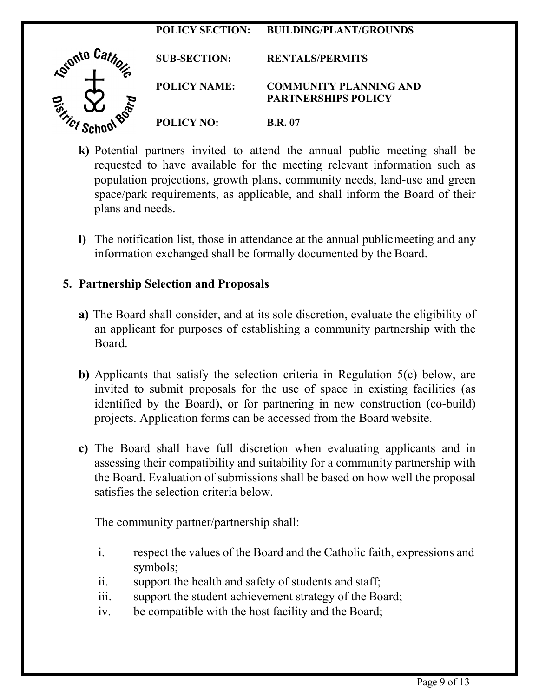# **POLICY SECTION: BUILDING/PLANT/GROUNDS**  Astonto Cathor **SUB-SECTION: RENTALS/PERMITS POLICY NAME: COMMUNITY PLANNING AND PARTNERSHIPS POLICY POLICY NO: B.R. 07**

- **k)** Potential partners invited to attend the annual public meeting shall be requested to have available for the meeting relevant information such as population projections, growth plans, community needs, land-use and green space/park requirements, as applicable, and shall inform the Board of their plans and needs.
- **l)** The notification list, those in attendance at the annual publicmeeting and any information exchanged shall be formally documented by the Board.

## **5. Partnership Selection and Proposals**

- **a)** The Board shall consider, and at its sole discretion, evaluate the eligibility of an applicant for purposes of establishing a community partnership with the Board.
- **b)** Applicants that satisfy the selection criteria in Regulation 5(c) below, are invited to submit proposals for the use of space in existing facilities (as identified by the Board), or for partnering in new construction (co-build) projects. Application forms can be accessed from the Board website.
- **c)** The Board shall have full discretion when evaluating applicants and in assessing their compatibility and suitability for a community partnership with the Board. Evaluation of submissions shall be based on how well the proposal satisfies the selection criteria below.

The community partner/partnership shall:

- i. respect the values of the Board and the Catholic faith, expressions and symbols;
- ii. support the health and safety of students and staff;
- iii. support the student achievement strategy of the Board;
- iv. be compatible with the host facility and the Board;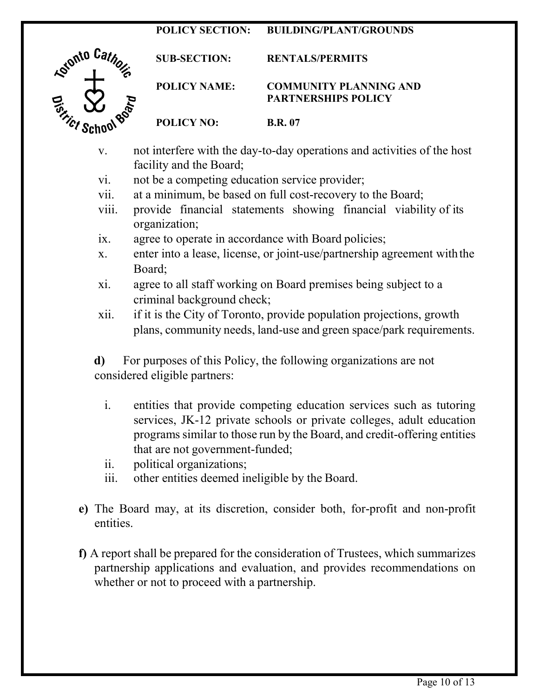#### **POLICY SECTION: BUILDING/PLANT/GROUNDS**



**SUB-SECTION: RENTALS/PERMITS POLICY NAME: COMMUNITY PLANNING AND PARTNERSHIPS POLICY POLICY NO: B.R. 07**

- v. not interfere with the day-to-day operations and activities of the host facility and the Board;
- vi. not be a competing education service provider;
- vii. at a minimum, be based on full cost-recovery to the Board;
- viii. provide financial statements showing financial viability of its organization;
- ix. agree to operate in accordance with Board policies;
- x. enter into a lease, license, or joint-use/partnership agreement withthe Board;
- xi. agree to all staff working on Board premises being subject to a criminal background check;
- xii. if it is the City of Toronto, provide population projections, growth plans, community needs, land-use and green space/park requirements.

**d)** For purposes of this Policy, the following organizations are not considered eligible partners:

- i. entities that provide competing education services such as tutoring services, JK-12 private schools or private colleges, adult education programs similar to those run by the Board, and credit-offering entities that are not government-funded;
- ii. political organizations;
- iii. other entities deemed ineligible by the Board.
- **e)** The Board may, at its discretion, consider both, for-profit and non-profit entities.
- **f)** A report shall be prepared for the consideration of Trustees, which summarizes partnership applications and evaluation, and provides recommendations on whether or not to proceed with a partnership.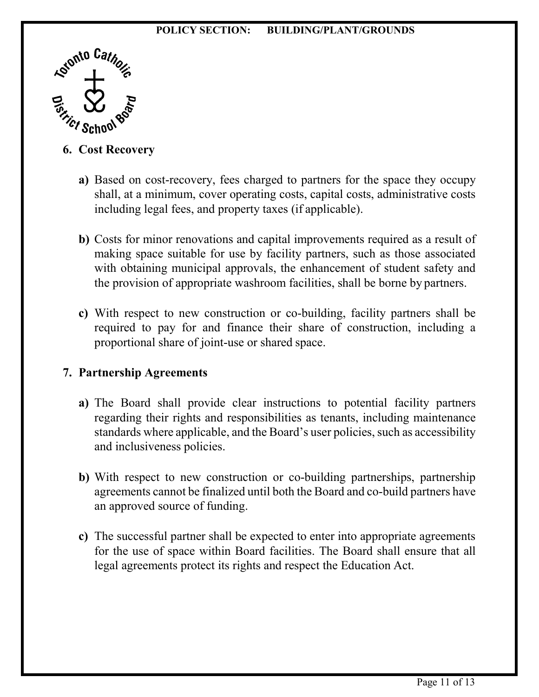#### **POLICY SECTION: BUILDING/PLANT/GROUNDS**



#### **6. Cost Recovery**

- **a)** Based on cost-recovery, fees charged to partners for the space they occupy shall, at a minimum, cover operating costs, capital costs, administrative costs including legal fees, and property taxes (if applicable).
- **b)** Costs for minor renovations and capital improvements required as a result of making space suitable for use by facility partners, such as those associated with obtaining municipal approvals, the enhancement of student safety and the provision of appropriate washroom facilities, shall be borne by partners.
- **c)** With respect to new construction or co-building, facility partners shall be required to pay for and finance their share of construction, including a proportional share of joint-use or shared space.

#### **7. Partnership Agreements**

- **a)** The Board shall provide clear instructions to potential facility partners regarding their rights and responsibilities as tenants, including maintenance standards where applicable, and the Board's user policies, such as accessibility and inclusiveness policies.
- **b)** With respect to new construction or co-building partnerships, partnership agreements cannot be finalized until both the Board and co-build partners have an approved source of funding.
- **c)** The successful partner shall be expected to enter into appropriate agreements for the use of space within Board facilities. The Board shall ensure that all legal agreements protect its rights and respect the Education Act.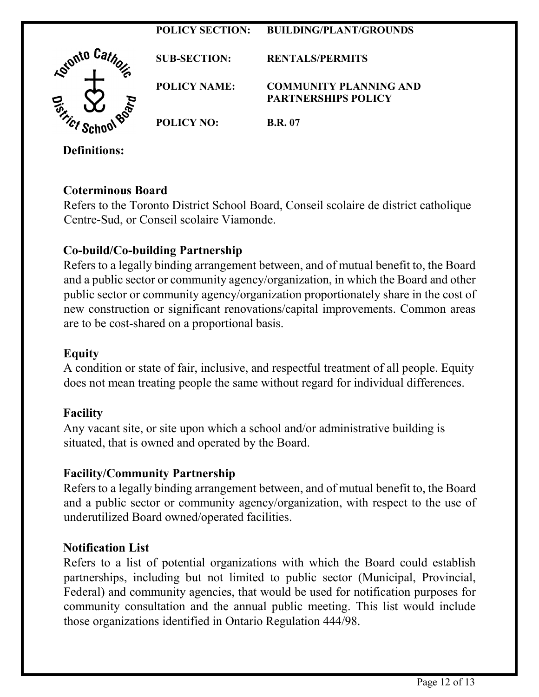

**Coterminous Board**

Refers to the Toronto District School Board, Conseil scolaire de district catholique Centre-Sud, or Conseil scolaire Viamonde.

# **Co-build/Co-building Partnership**

Refers to a legally binding arrangement between, and of mutual benefit to, the Board and a public sector or community agency/organization, in which the Board and other public sector or community agency/organization proportionately share in the cost of new construction or significant renovations/capital improvements. Common areas are to be cost-shared on a proportional basis.

### **Equity**

A condition or state of fair, inclusive, and respectful treatment of all people. Equity does not mean treating people the same without regard for individual differences.

# **Facility**

Any vacant site, or site upon which a school and/or administrative building is situated, that is owned and operated by the Board.

# **Facility/Community Partnership**

Refers to a legally binding arrangement between, and of mutual benefit to, the Board and a public sector or community agency/organization, with respect to the use of underutilized Board owned/operated facilities.

# **Notification List**

Refers to a list of potential organizations with which the Board could establish partnerships, including but not limited to public sector (Municipal, Provincial, Federal) and community agencies, that would be used for notification purposes for community consultation and the annual public meeting. This list would include those organizations identified in Ontario Regulation 444/98.